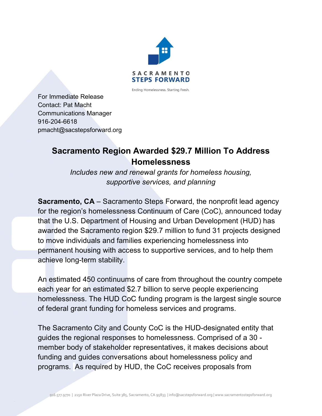

Ending Homelessness. Starting Fresh.

For Immediate Release Contact: Pat Macht Communications Manager 916-204-6618 pmacht@sacstepsforward.org

## **Sacramento Region Awarded \$29.7 Million To Address Homelessness**

*Includes new and renewal grants for homeless housing, supportive services, and planning*

**Sacramento, CA** – Sacramento Steps Forward, the nonprofit lead agency for the region's homelessness Continuum of Care (CoC), announced today that the U.S. Department of Housing and Urban Development (HUD) has awarded the Sacramento region \$29.7 million to fund 31 projects designed to move individuals and families experiencing homelessness into permanent housing with access to supportive services, and to help them achieve long-term stability.

An estimated 450 continuums of care from throughout the country compete each year for an estimated \$2.7 billion to serve people experiencing homelessness. The HUD CoC funding program is the largest single source of federal grant funding for homeless services and programs.

The Sacramento City and County CoC is the HUD-designated entity that guides the regional responses to homelessness. Comprised of a 30 member body of stakeholder representatives, it makes decisions about funding and guides conversations about homelessness policy and programs. As required by HUD, the CoC receives proposals from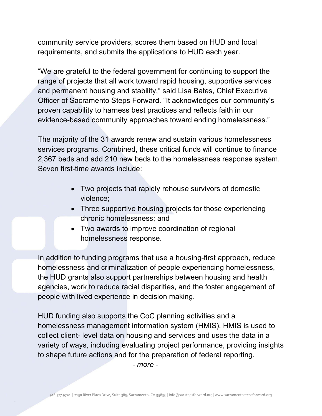community service providers, scores them based on HUD and local requirements, and submits the applications to HUD each year.

"We are grateful to the federal government for continuing to support the range of projects that all work toward rapid housing, supportive services and permanent housing and stability," said Lisa Bates, Chief Executive Officer of Sacramento Steps Forward. "It acknowledges our community's proven capability to harness best practices and reflects faith in our evidence-based community approaches toward ending homelessness."

The majority of the 31 awards renew and sustain various homelessness services programs. Combined, these critical funds will continue to finance 2,367 beds and add 210 new beds to the homelessness response system. Seven first-time awards include:

- Two projects that rapidly rehouse survivors of domestic violence;
- Three supportive housing projects for those experiencing chronic homelessness; and
- Two awards to improve coordination of regional homelessness response.

In addition to funding programs that use a housing-first approach, reduce homelessness and criminalization of people experiencing homelessness, the HUD grants also support partnerships between housing and health agencies, work to reduce racial disparities, and the foster engagement of people with lived experience in decision making.

HUD funding also supports the CoC planning activities and a homelessness management information system (HMIS). HMIS is used to collect client- level data on housing and services and uses the data in a variety of ways, including evaluating project performance, providing insights to shape future actions and for the preparation of federal reporting.

*- more -*